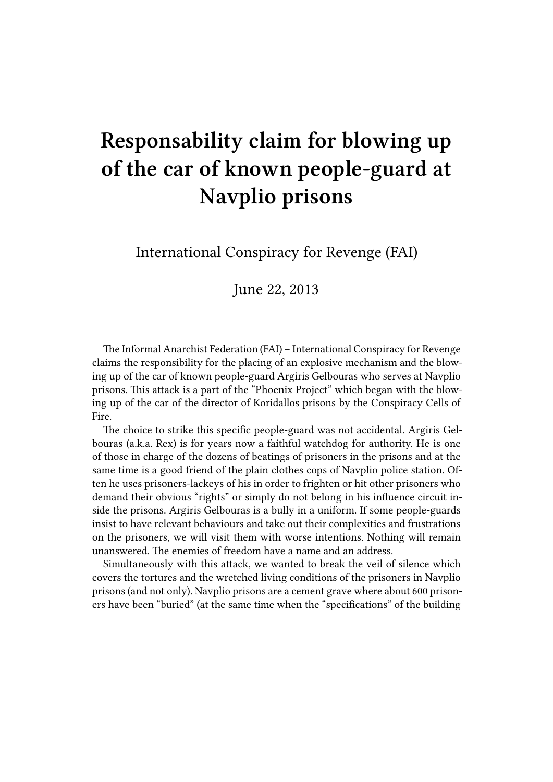## **Responsability claim for blowing up of the car of known people-guard at Navplio prisons**

International Conspiracy for Revenge (FAI)

June 22, 2013

The Informal Anarchist Federation (FAI) – International Conspiracy for Revenge claims the responsibility for the placing of an explosive mechanism and the blowing up of the car of known people-guard Argiris Gelbouras who serves at Navplio prisons. This attack is a part of the "Phoenix Project" which began with the blowing up of the car of the director of Koridallos prisons by the Conspiracy Cells of Fire.

The choice to strike this specific people-guard was not accidental. Argiris Gelbouras (a.k.a. Rex) is for years now a faithful watchdog for authority. He is one of those in charge of the dozens of beatings of prisoners in the prisons and at the same time is a good friend of the plain clothes cops of Navplio police station. Often he uses prisoners-lackeys of his in order to frighten or hit other prisoners who demand their obvious "rights" or simply do not belong in his influence circuit inside the prisons. Argiris Gelbouras is a bully in a uniform. If some people-guards insist to have relevant behaviours and take out their complexities and frustrations on the prisoners, we will visit them with worse intentions. Nothing will remain unanswered. The enemies of freedom have a name and an address.

Simultaneously with this attack, we wanted to break the veil of silence which covers the tortures and the wretched living conditions of the prisoners in Navplio prisons (and not only). Navplio prisons are a cement grave where about 600 prisoners have been "buried" (at the same time when the "specifications" of the building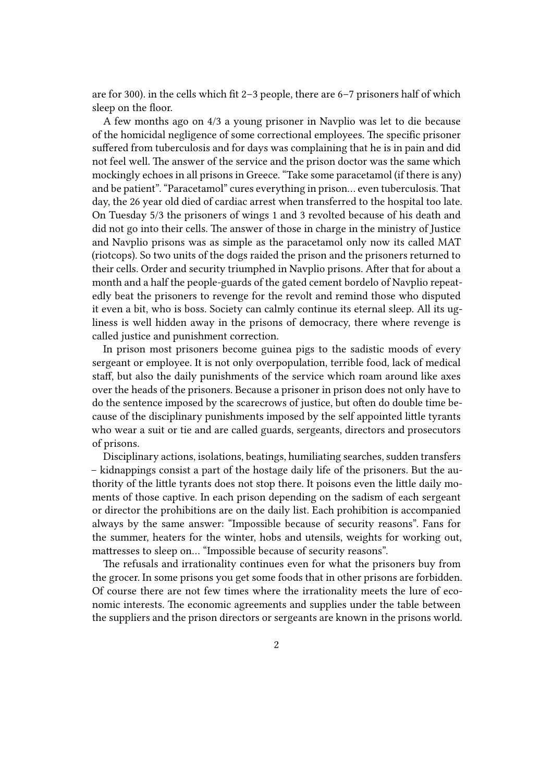are for 300). in the cells which fit 2–3 people, there are 6–7 prisoners half of which sleep on the floor.

A few months ago on 4/3 a young prisoner in Navplio was let to die because of the homicidal negligence of some correctional employees. The specific prisoner suffered from tuberculosis and for days was complaining that he is in pain and did not feel well. The answer of the service and the prison doctor was the same which mockingly echoes in all prisons in Greece. "Take some paracetamol (if there is any) and be patient". "Paracetamol" cures everything in prison… even tuberculosis. That day, the 26 year old died of cardiac arrest when transferred to the hospital too late. On Tuesday 5/3 the prisoners of wings 1 and 3 revolted because of his death and did not go into their cells. The answer of those in charge in the ministry of Justice and Navplio prisons was as simple as the paracetamol only now its called MAT (riotcops). So two units of the dogs raided the prison and the prisoners returned to their cells. Order and security triumphed in Navplio prisons. After that for about a month and a half the people-guards of the gated cement bordelo of Navplio repeatedly beat the prisoners to revenge for the revolt and remind those who disputed it even a bit, who is boss. Society can calmly continue its eternal sleep. All its ugliness is well hidden away in the prisons of democracy, there where revenge is called justice and punishment correction.

In prison most prisoners become guinea pigs to the sadistic moods of every sergeant or employee. It is not only overpopulation, terrible food, lack of medical staff, but also the daily punishments of the service which roam around like axes over the heads of the prisoners. Because a prisoner in prison does not only have to do the sentence imposed by the scarecrows of justice, but often do double time because of the disciplinary punishments imposed by the self appointed little tyrants who wear a suit or tie and are called guards, sergeants, directors and prosecutors of prisons.

Disciplinary actions, isolations, beatings, humiliating searches, sudden transfers – kidnappings consist a part of the hostage daily life of the prisoners. But the authority of the little tyrants does not stop there. It poisons even the little daily moments of those captive. In each prison depending on the sadism of each sergeant or director the prohibitions are on the daily list. Each prohibition is accompanied always by the same answer: "Impossible because of security reasons". Fans for the summer, heaters for the winter, hobs and utensils, weights for working out, mattresses to sleep on… "Impossible because of security reasons".

The refusals and irrationality continues even for what the prisoners buy from the grocer. In some prisons you get some foods that in other prisons are forbidden. Of course there are not few times where the irrationality meets the lure of economic interests. The economic agreements and supplies under the table between the suppliers and the prison directors or sergeants are known in the prisons world.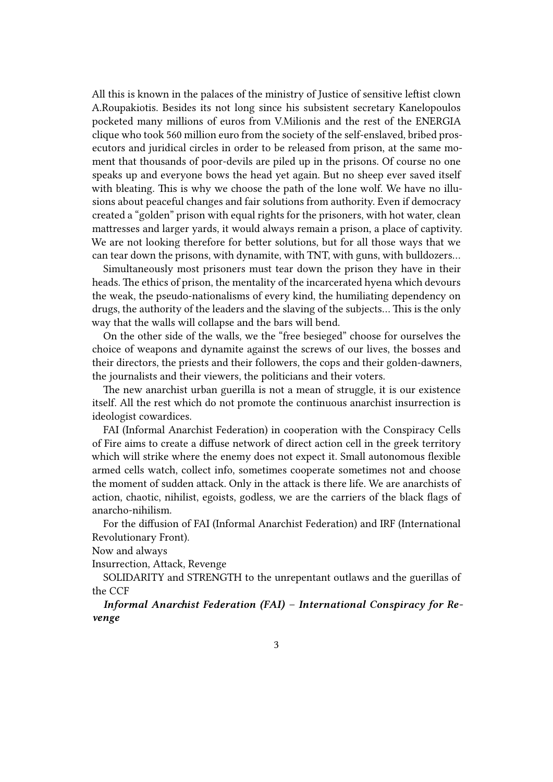All this is known in the palaces of the ministry of Justice of sensitive leftist clown A.Roupakiotis. Besides its not long since his subsistent secretary Kanelopoulos pocketed many millions of euros from V.Milionis and the rest of the ENERGIA clique who took 560 million euro from the society of the self-enslaved, bribed prosecutors and juridical circles in order to be released from prison, at the same moment that thousands of poor-devils are piled up in the prisons. Of course no one speaks up and everyone bows the head yet again. But no sheep ever saved itself with bleating. This is why we choose the path of the lone wolf. We have no illusions about peaceful changes and fair solutions from authority. Even if democracy created a "golden" prison with equal rights for the prisoners, with hot water, clean mattresses and larger yards, it would always remain a prison, a place of captivity. We are not looking therefore for better solutions, but for all those ways that we can tear down the prisons, with dynamite, with TNT, with guns, with bulldozers…

Simultaneously most prisoners must tear down the prison they have in their heads. The ethics of prison, the mentality of the incarcerated hyena which devours the weak, the pseudo-nationalisms of every kind, the humiliating dependency on drugs, the authority of the leaders and the slaving of the subjects… This is the only way that the walls will collapse and the bars will bend.

On the other side of the walls, we the "free besieged" choose for ourselves the choice of weapons and dynamite against the screws of our lives, the bosses and their directors, the priests and their followers, the cops and their golden-dawners, the journalists and their viewers, the politicians and their voters.

The new anarchist urban guerilla is not a mean of struggle, it is our existence itself. All the rest which do not promote the continuous anarchist insurrection is ideologist cowardices.

FAI (Informal Anarchist Federation) in cooperation with the Conspiracy Cells of Fire aims to create a diffuse network of direct action cell in the greek territory which will strike where the enemy does not expect it. Small autonomous flexible armed cells watch, collect info, sometimes cooperate sometimes not and choose the moment of sudden attack. Only in the attack is there life. We are anarchists of action, chaotic, nihilist, egoists, godless, we are the carriers of the black flags of anarcho-nihilism.

For the diffusion of FAI (Informal Anarchist Federation) and IRF (International Revolutionary Front).

Now and always

Insurrection, Attack, Revenge

SOLIDARITY and STRENGTH to the unrepentant outlaws and the guerillas of the CCF

*Informal Anarchist Federation (FAI) – International Conspiracy for Revenge*